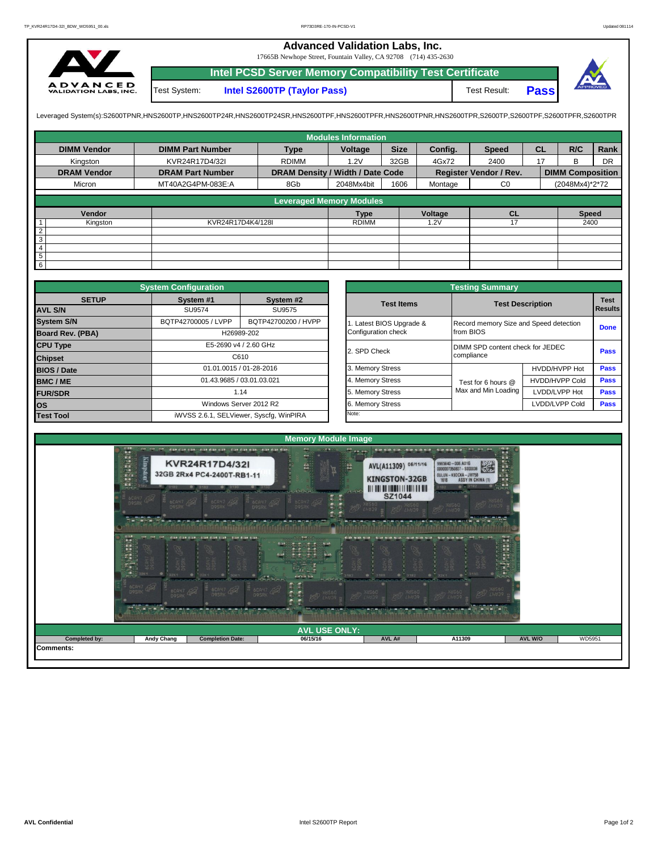## **Advanced Validation Labs, Inc.**

17665B Newhope Street, Fountain Valley, CA 92708 (714) 435-2630



Test System: **Intel S2600TP (Taylor Pass)** Test Result: **Intel PCSD Server Memory Compatibility Test Certificate Pass**



Leveraged System(s):S2600TPNR,HNS2600TP,HNS2600TP24R,HNS2600TP24SR,HNS2600TPF,HNS2600TPRR,HNS2600TPR,S2600TPR,S2600TPR,S2600TPR,S2600TPR,S2600TPFR,S2600TPFR,

|                    |                         |                                  | <b>Modules Information</b> |             |         |                               |           |                         |           |
|--------------------|-------------------------|----------------------------------|----------------------------|-------------|---------|-------------------------------|-----------|-------------------------|-----------|
| <b>DIMM Vendor</b> | <b>DIMM Part Number</b> | <b>Type</b>                      | Voltage                    | <b>Size</b> | Config. | <b>Speed</b>                  | <b>CL</b> | R/C                     | Rank      |
| Kingston           | KVR24R17D4/32I          | <b>RDIMM</b>                     | 1.2V                       | 32GB        | 4Gx72   | 2400                          | 17        | <sub>B</sub>            | <b>DR</b> |
| <b>DRAM Vendor</b> | <b>DRAM Part Number</b> | DRAM Density / Width / Date Code |                            |             |         | <b>Register Vendor / Rev.</b> |           | <b>DIMM Composition</b> |           |
| Micron             | MT40A2G4PM-083E:A       | 8Gb                              | 2048Mx4bit                 | 1606        | Montage | C <sub>0</sub>                |           | (2048Mx4)*2*72          |           |
|                    |                         | <b>Leveraged Memory Modules</b>  |                            |             |         |                               |           |                         |           |
|                    |                         |                                  |                            |             |         |                               |           |                         |           |
| Vendor             |                         |                                  | <b>Type</b>                |             | Voltage | <b>CL</b>                     |           | <b>Speed</b>            |           |
| Kingston           | KVR24R17D4K4/128I       |                                  | <b>RDIMM</b>               |             | 1.2V    | 17                            |           | 2400                    |           |
| $\overline{2}$     |                         |                                  |                            |             |         |                               |           |                         |           |
| $\overline{3}$     |                         |                                  |                            |             |         |                               |           |                         |           |
| $\overline{4}$     |                         |                                  |                            |             |         |                               |           |                         |           |
| $5\phantom{.0}$    |                         |                                  |                            |             |         |                               |           |                         |           |
| $6\overline{6}$    |                         |                                  |                            |             |         |                               |           |                         |           |

|                    | <b>System Configuration</b>             |                         |  | <b>Testing Summary</b> |                                        |                                  |             |  |  |  |  |  |
|--------------------|-----------------------------------------|-------------------------|--|------------------------|----------------------------------------|----------------------------------|-------------|--|--|--|--|--|
| <b>SETUP</b>       | System #1                               | System #2               |  | <b>Test Items</b>      |                                        | <b>Test Description</b>          | <b>Test</b> |  |  |  |  |  |
| <b>AVL S/N</b>     | SU9574                                  | SU9575                  |  |                        |                                        |                                  | Results     |  |  |  |  |  |
| <b>System S/N</b>  | BQTP42700005 / LVPP                     | BQTP42700200 / HVPP     |  | Latest BIOS Upgrade &  | Record memory Size and Speed detection |                                  | <b>Done</b> |  |  |  |  |  |
| Board Rev. (PBA)   |                                         | H26989-202              |  | Configuration check    | from BIOS                              |                                  |             |  |  |  |  |  |
| <b>CPU Type</b>    |                                         | E5-2690 v4 / 2.60 GHz   |  | 2. SPD Check           |                                        | DIMM SPD content check for JEDEC |             |  |  |  |  |  |
| <b>Chipset</b>     |                                         | C610                    |  |                        | compliance                             |                                  |             |  |  |  |  |  |
| <b>BIOS / Date</b> |                                         | 01.01.0015 / 01-28-2016 |  | 3. Memory Stress       |                                        | HVDD/HVPP Hot                    | <b>Pass</b> |  |  |  |  |  |
| <b>BMC/ME</b>      | 01.43.9685 / 03.01.03.021               |                         |  | 4. Memory Stress       | Test for 6 hours @                     | <b>HVDD/HVPP Cold</b>            | <b>Pass</b> |  |  |  |  |  |
| <b>FUR/SDR</b>     | 1.14                                    |                         |  | 5. Memory Stress       | Max and Min Loading                    | LVDD/LVPP Hot                    | Pass        |  |  |  |  |  |
| <b>los</b>         |                                         | Windows Server 2012 R2  |  | 6. Memory Stress       |                                        | LVDD/LVPP Cold                   |             |  |  |  |  |  |
| <b>Test Tool</b>   | iWVSS 2.6.1, SELViewer, Syscfq, WinPIRA |                         |  | Note:                  |                                        |                                  |             |  |  |  |  |  |

|              | <b>System Configuration</b> |                                         |                       | <b>Testing Summary</b>                 |                       |                |  |  |
|--------------|-----------------------------|-----------------------------------------|-----------------------|----------------------------------------|-----------------------|----------------|--|--|
| <b>SETUP</b> | System #1                   | System #2                               | <b>Test Items</b>     | <b>Test Description</b>                |                       | <b>Results</b> |  |  |
|              | SU9574                      | SU9575                                  |                       |                                        |                       |                |  |  |
|              | BQTP42700005 / LVPP         | BQTP42700200 / HVPP                     | Latest BIOS Upgrade & | Record memory Size and Speed detection |                       |                |  |  |
| PBA)         |                             | H26989-202                              | Configuration check   | from BIOS                              |                       | <b>Done</b>    |  |  |
|              |                             | E5-2690 v4 / 2.60 GHz                   | 2. SPD Check          | DIMM SPD content check for JEDEC       |                       |                |  |  |
|              |                             | C610                                    |                       | compliance                             |                       |                |  |  |
|              |                             | 01.01.0015 / 01-28-2016                 | 3. Memory Stress      |                                        | HVDD/HVPP Hot         | Pass           |  |  |
|              | 01.43.9685 / 03.01.03.021   |                                         | 4. Memory Stress      | Test for 6 hours @                     | <b>HVDD/HVPP Cold</b> | Pass           |  |  |
|              |                             | 1.14                                    | 5. Memory Stress      | Max and Min Loading                    | LVDD/LVPP Hot         | Pass           |  |  |
|              |                             | Windows Server 2012 R2                  | 6. Memory Stress      |                                        | LVDD/LVPP Cold        |                |  |  |
|              |                             | iWVSS 2.6.1, SELViewer, Syscfq, WinPIRA | Note:                 |                                        |                       |                |  |  |